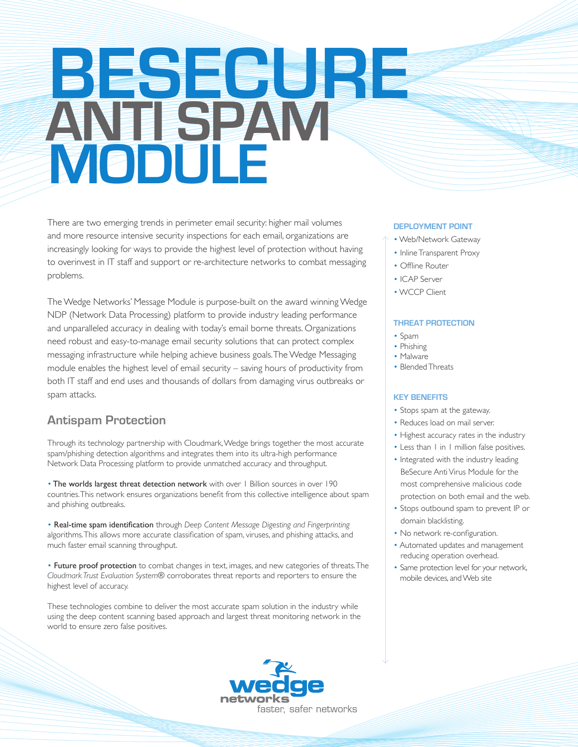# **BESECURE ANTI SPAM MODULE**

There are two emerging trends in perimeter email security: higher mail volumes and more resource intensive security inspections for each email, organizations are increasingly looking for ways to provide the highest level of protection without having to overinvest in IT staff and support or re-architecture networks to combat messaging problems.

The Wedge Networks' Message Module is purpose-built on the award winning Wedge NDP (Network Data Processing) platform to provide industry leading performance and unparalleled accuracy in dealing with today's email borne threats. Organizations need robust and easy-to-manage email security solutions that can protect complex messaging infrastructure while helping achieve business goals. The Wedge Messaging module enables the highest level of email security – saving hours of productivity from both IT staff and end uses and thousands of dollars from damaging virus outbreaks or spam attacks.

# **Antispam Protection**

Through its technology partnership with Cloudmark, Wedge brings together the most accurate spam/phishing detection algorithms and integrates them into its ultra-high performance Network Data Processing platform to provide unmatched accuracy and throughput.

• The worlds largest threat detection network with over 1 Billion sources in over 190 countries. This network ensures organizations benefit from this collective intelligence about spam and phishing outbreaks.

• Real-time spam identification through *Deep Content Message Digesting and Fingerprinting*  algorithms. This allows more accurate classification of spam, viruses, and phishing attacks, and much faster email scanning throughput.

• Future proof protection to combat changes in text, images, and new categories of threats. The *Cloudmark Trust Evaluation System*® corroborates threat reports and reporters to ensure the highest level of accuracy.

These technologies combine to deliver the most accurate spam solution in the industry while using the deep content scanning based approach and largest threat monitoring network in the world to ensure zero false positives.



#### **DEPLOYMENT POINT**

- Web/Network Gateway
- Inline Transparent Proxy
- Offline Router
- ICAP Server
- WCCP Client

#### **THREAT PROTECTION**

- Spam
- Phishing
- Malware
- Blended Threats

#### **KEY BENEFITS**

- Stops spam at the gateway.
- Reduces load on mail server.
- Highest accuracy rates in the industry
- Less than I in I million false positives.
- Integrated with the industry leading BeSecure Anti Virus Module for the most comprehensive malicious code protection on both email and the web.
- Stops outbound spam to prevent IP or domain blacklisting.
- No network re-configuration.
- Automated updates and management reducing operation overhead.
- Same protection level for your network, mobile devices, and Web site